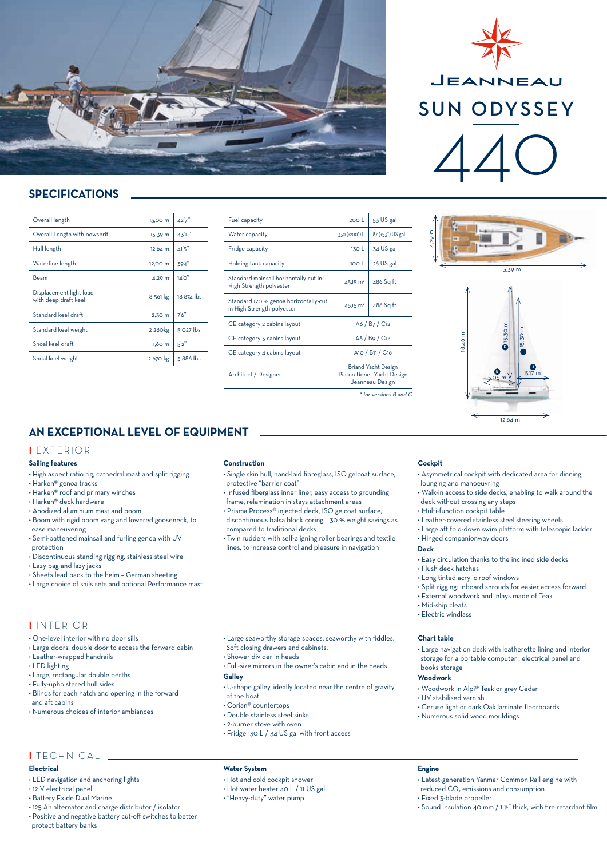

## **SPECIFICATIONS**

| Overall length                                  | 13,00 m             | 42'7''     |
|-------------------------------------------------|---------------------|------------|
| Overall Length with bowsprit                    | 13.39 m             | 43'11"     |
| Hull length                                     | $12,64 \, m$        | 41'5''     |
| Waterline length                                | 12,00 m             | 39'4"      |
| Beam                                            | 4.29 m              | 14'0''     |
| Displacement light load<br>with deep draft keel | 8 561 kg            | 18 874 lbs |
| Standard keel draft                             | 2,30 m              | 7'6''      |
| Standard keel weight                            | 2 280 <sub>kg</sub> | 5 027 lbs  |
| Shoal keel draft                                | 1,60 m              | 5'2''      |
| Shoal keel weight                               | 2 670 kg            | 5886 lbs   |

| Fuel capacity                                                       | 200L                                                                       | 53 US gal                     |  |
|---------------------------------------------------------------------|----------------------------------------------------------------------------|-------------------------------|--|
| Water capacity                                                      | 330 (+200 <sup>*</sup> ) L                                                 | 87 (+53 <sup>*</sup> ) US gal |  |
| Fridge capacity                                                     | 130L                                                                       | 34 US gal                     |  |
| Holding tank capacity                                               | 100 <sub>l</sub>                                                           | 26 US gal                     |  |
| Standard mainsail horizontally-cut in<br>High Strength polyester    | $45.15 \text{ m}^2$                                                        | 486 Sq ft                     |  |
| Standard 120 % genoa horizontally-cut<br>in High Strength polyester | $45.15 \text{ m}^2$                                                        | 486 Sq ft                     |  |
| CE category 2 cabins layout                                         | A6 / B7 / C12                                                              |                               |  |
| CE category 3 cabins layout                                         | A8 / B9 / C14                                                              |                               |  |
| CE category 4 cabins layout                                         | A10 / B11 / C16                                                            |                               |  |
| Architect / Designer                                                | <b>Briand Yacht Design</b><br>Piaton Bonet Yacht Design<br>Jeanneau Design |                               |  |
|                                                                     | $*$ for versions $B$ and $C$                                               |                               |  |

# JEANNEAU SUN ODYSSEY 440





## **AN EXCEPTIONAL LEVEL OF EQUIPMENT**

#### **I** EXTERIOR

#### **Sailing features**

- High aspect ratio rig, cathedral mast and split rigging
- Harken® genoa tracks
- Harken® roof and primary winches
- Harken® deck hardware

**I** INTERIOR

• LED lighting

and aft cabins

• Leather-wrapped handrails

- Anodized aluminium mast and boom
- Boom with rigid boom vang and lowered gooseneck, to ease maneuvering
- Semi-battened mainsail and furling genoa with UV protection
- Discontinuous standing rigging, stainless steel wire
- Lazy bag and lazy jacks

• One-level interior with no door sills

• Large, rectangular double berths • Fully-upholstered hull sides

- Sheets lead back to the helm German sheeting
- Large choice of sails sets and optional Performance mast

• Large doors, double door to access the forward cabin

• Blinds for each hatch and opening in the forward

• Numerous choices of interior ambiances

#### **Construction**

- Single skin hull, hand-laid fibreglass, ISO gelcoat surface, protective "barrier coat"
- Infused fiberglass inner liner, easy access to grounding frame, relamination in stays attachment areas
- Prisma Process® injected deck, ISO gelcoat surface, discontinuous balsa block coring – 30 % weight savings as compared to traditional decks
- Twin rudders with self-aligning roller bearings and textile lines, to increase control and pleasure in navigation

• Large seaworthy storage spaces, seaworthy with fiddles.

• Full-size mirrors in the owner's cabin and in the heads

• U-shape galley, ideally located near the centre of gravity

#### **Cockpit**

- Asymmetrical cockpit with dedicated area for dinning, lounging and manoeuvring
- Walk-in access to side decks, enabling to walk around the
- deck without crossing any steps
- Multi-function cockpit table
- Leather-covered stainless steel steering wheels
- Large aft fold-down swim platform with telescopic ladder • Hinged companionway doors

#### **Deck**

- Easy circulation thanks to the inclined side decks
- Flush deck hatches
- Long tinted acrylic roof windows
- Split rigging: Inboard shrouds for easier access forward
- External woodwork and inlays made of Teak
- Mid-ship cleats
- Electric windlass

#### **Chart table**

- Large navigation desk with leatherette lining and interior
- storage for a portable computer , electrical panel and

## books storage

- **Woodwork**
- Woodwork in Alpi® Teak or grey Cedar
- UV stabilised varnish
- Ceruse light or dark Oak laminate floorboards
- Numerous solid wood mouldings

## **I** TECHNICAL

- **Electrical**
- LED navigation and anchoring lights
- 12 V electrical panel
- Battery Exide Dual Marine
- 125 Ah alternator and charge distributor / isolator
- Positive and negative battery cut-off switches to better protect battery banks

## • Fridge 130 L / 34 US gal with front access

Soft closing drawers and cabinets. • Shower divider in heads

#### **Water System**

**Galley**

of the boat • Corian® countertops • Double stainless steel sinks • 2-burner stove with oven

- Hot and cold cockpit shower
- Hot water heater 40 L / 11 US gal
- "Heavy-duty" water pump

#### **Engine**

- Latest-generation Yanmar Common Rail engine with reduced CO<sub>2</sub> emissions and consumption
- Fixed 3-blade propeller
- Sound insulation 40 mm / 1 ½" thick, with fire retardant film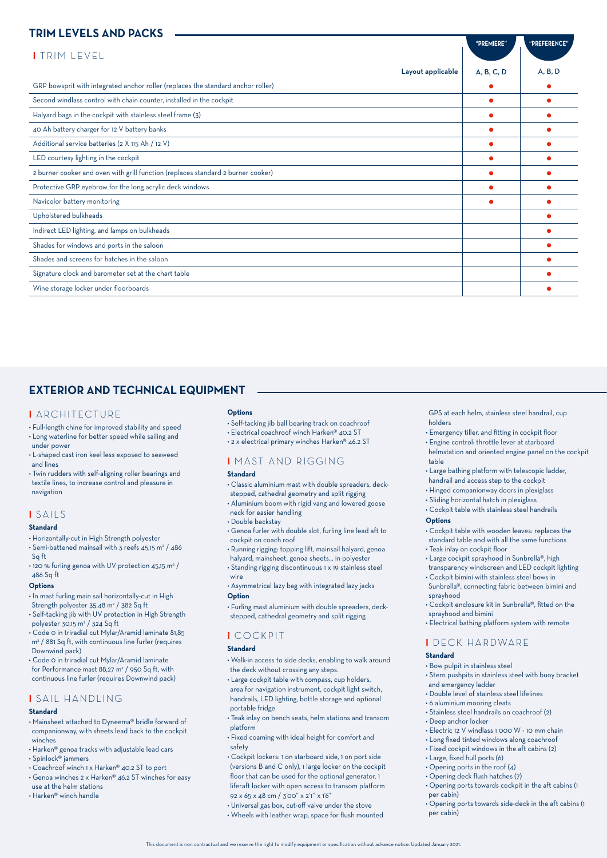## **TRIM LEVELS AND PACKS**

| "PREMIERE" | "PREFERENCE" |
|------------|--------------|
|            |              |
| A, B, C, D | A, B, D      |
|            | $\bullet$    |
|            |              |
|            |              |
|            |              |
|            |              |
|            |              |
|            |              |
|            |              |
|            |              |
|            |              |
|            |              |
|            |              |
|            |              |
|            |              |
|            |              |
|            |              |

## **EXTERIOR AND TECHNICAL EQUIPMENT**

#### **I** ARCHITECTURE

- Full-length chine for improved stability and speed • Long waterline for better speed while sailing and
- under power • L-shaped cast iron keel less exposed to seaweed
- and lines • Twin rudders with self-aligning roller bearings and
- textile lines, to increase control and pleasure in navigation

### **I** SAILS

#### **Standard**

- Horizontally-cut in High Strength polyester
- $\cdot$  Semi-battened mainsail with 3 reefs 45,15 m<sup>2</sup> / 486 Sq ft  $\cdot$  120 % furling genoa with UV protection 45,15 m<sup>2</sup> /

## 486 Sq ft

## **Options**

- In mast furling main sail horizontally-cut in High
- Strength polyester 35,48 m<sup>2</sup> / 382 Sq ft • Self-tacking jib with UV protection in High Strength polyester 30,15 m2 / 324 Sq ft
- Code 0 in triradial cut Mylar/Aramid laminate 81,85 m2 / 881 Sq ft, with continuous line furler (requires Downwind pack)
- Code 0 in triradial cut Mylar/Aramid laminate for Performance mast 88,27 m<sup>2</sup> / 950 Sq ft, with
- continuous line furler (requires Downwind pack)

## **I** SAIL HANDLING

## **Standard**

- Mainsheet attached to Dyneema® bridle forward of companionway, with sheets lead back to the cockpit winches
- Harken® genoa tracks with adjustable lead cars
- Spinlock® jammers
- Coachroof winch 1 x Harken® 40.2 ST to port
- Genoa winches 2 x Harken® 46.2 ST winches for easy use at the helm stations
- Harken® winch handle

#### **Options**

- Self-tacking jib ball bearing track on coachroof
- Electrical coachroof winch Harken® 40.2 ST
- 2 x electrical primary winches Harken® 46.2 ST

## **I** MAST AND RIGGING

#### **Standard**

- Classic aluminium mast with double spreaders, deckstepped, cathedral geometry and split rigging
- Aluminium boom with rigid vang and lowered goose neck for easier handling
- Double backstay
- Genoa furler with double slot, furling line lead aft to cockpit on coach roof
- Running rigging: topping lift, mainsail halyard, genoa halyard, mainsheet, genoa sheets... in polyester
- Standing rigging discontinuous 1 x 19 stainless steel
- wire • Asymmetrical lazy bag with integrated lazy jacks

#### **Option**

• Furling mast aluminium with double spreaders, deckstepped, cathedral geometry and split rigging

## **I** COCKPIT

#### **Standard**

- Walk-in access to side decks, enabling to walk around the deck without crossing any steps.
- Large cockpit table with compass, cup holders, area for navigation instrument, cockpit light switch, handrails, LED lighting, bottle storage and optional
- portable fridge • Teak inlay on bench seats, helm stations and transom
- platform • Fixed coaming with ideal height for comfort and
- safety
- Cockpit lockers: 1 on starboard side, 1 on port side (versions B and C only), 1 large locker on the cockpit floor that can be used for the optional generator, 1 liferaft locker with open access to transom platform 92 x 65 x 48 cm / 3'00'' x 2'1'' x 1'6''
- Universal gas box, cut-off valve under the stove
- Wheels with leather wrap, space for flush mounted

GPS at each helm, stainless steel handrail, cup holders

- Emergency tiller, and fitting in cockpit floor
- Engine control: throttle lever at starboard helmstation and oriented engine panel on the cockpit table
- Large bathing platform with telescopic ladder,
- handrail and access step to the cockpit
- Hinged companionway doors in plexiglass
- Sliding horizontal hatch in plexiglass
- Cockpit table with stainless steel handrails

## **Options**

- Cockpit table with wooden leaves: replaces the standard table and with all the same functions
- Teak inlay on cockpit floor
- Large cockpit sprayhood in Sunbrella®, high transparency windscreen and LED cockpit lighting
- Cockpit bimini with stainless steel bows in Sunbrella®, connecting fabric between bimini and sprayhood
- Cockpit enclosure kit in Sunbrella®, fitted on the sprayhood and bimini
- Electrical bathing platform system with remote

## **I** DECK HARDWARE

#### **Standard**

- Bow pulpit in stainless steel
- Stern pushpits in stainless steel with buoy bracket and emergency ladder
- Double level of stainless steel lifelines
- 6 aluminium mooring cleats
- Stainless steel handrails on coachroof (2)
- Deep anchor locker
- Electric 12 V windlass 1 000 W 10 mm chain
- Long fixed tinted windows along coachroof
- Fixed cockpit windows in the aft cabins (2)
- Large, fixed hull ports (6)
- $\cdot$  Opening ports in the roof (4)
- Opening deck flush hatches (7)
- Opening ports towards cockpit in the aft cabins (1 per cabin)
- Opening ports towards side-deck in the aft cabins (1 per cabin)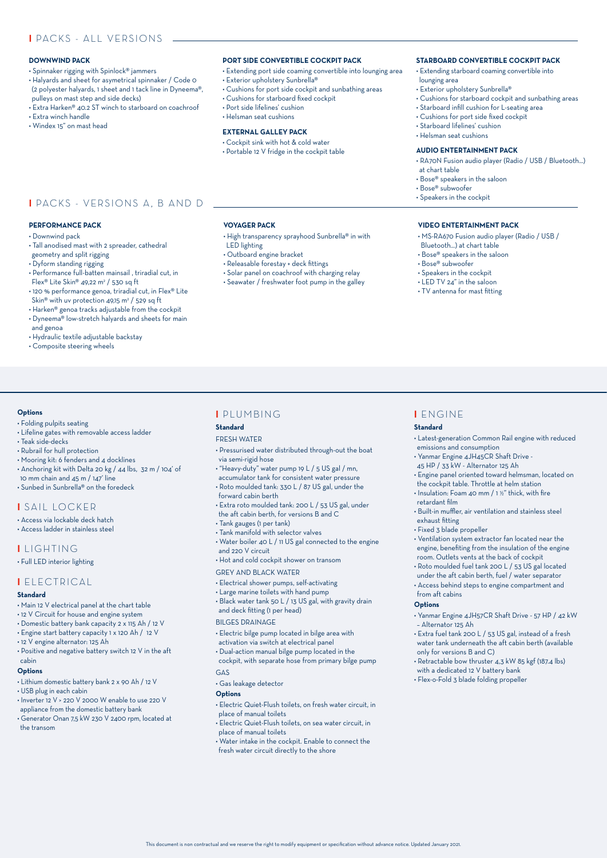## **I** PACKS - ALL VERSIONS

#### **DOWNWIND PACK**

- Spinnaker rigging with Spinlock® jammers
- Halyards and sheet for asymetrical spinnaker / Code 0 (2 polyester halyards, 1 sheet and 1 tack line in Dyneema®, pulleys on mast step and side decks)
- Extra Harken® 40.2 ST winch to starboard on coachroof • Extra winch handle
- Windex 15" on mast head

#### **PORT SIDE CONVERTIBLE COCKPIT PACK**

- Extending port side coaming convertible into lounging area
	- Exterior upholstery Sunbrella®
	- Cushions for port side cockpit and sunbathing areas
	- Cushions for starboard fixed cockpit

• High transparency sprayhood Sunbrella® in with

- Port side lifelines' cushion
- Helsman seat cushions

**VOYAGER PACK**

• Outboard engine bracket • Releasable forestay + deck fittings • Solar panel on coachroof with charging relay • Seawater / freshwater foot pump in the galley

LED lighting

#### **EXTERNAL GALLEY PACK**

- Cockpit sink with hot & cold water
- Portable 12 V fridge in the cockpit table

#### **STARBOARD CONVERTIBLE COCKPIT PACK**

- Extending starboard coaming convertible into lounging area
- Exterior upholstery Sunbrella®
- Cushions for starboard cockpit and sunbathing areas • Starboard infill cushion for L-seating area
- Cushions for port side fixed cockpit
- Starboard lifelines' cushion
- Helsman seat cushions

#### **AUDIO ENTERTAINMENT PACK**

- RA70N Fusion audio player (Radio / USB / Bluetooth...) at chart table
- Bose® speakers in the saloon
- Bose® subwoofer
- Speakers in the cockpit

#### **VIDEO ENTERTAINMENT PACK**

• MS-RA670 Fusion audio player (Radio / USB /

• Latest-generation Common Rail engine with reduced

• Engine panel oriented toward helmsman, located on the cockpit table. Throttle at helm station • Insulation: Foam 40 mm / 1 ½" thick, with fire

• Built-in muffler, air ventilation and stainless steel

• Ventilation system extractor fan located near the engine, benefiting from the insulation of the engine room. Outlets vents at the back of cockpit • Roto moulded fuel tank 200 L / 53 US gal located under the aft cabin berth, fuel / water separator • Access behind steps to engine compartment and

• Yanmar Engine 4JH57CR Shaft Drive - 57 HP / 42 kW

• Extra fuel tank 200 L / 53 US gal, instead of a fresh water tank underneath the aft cabin berth (available

• Retractable bow thruster 4,3 kW 85 kgf (187.4 lbs)

- Bluetooth...) at chart table
- Bose® speakers in the saloon
- Bose® subwoofer

**I** ENGINE **Standard** 

retardant film

exhaust fitting • Fixed 3 blade propeller

from aft cabins **Options**

– Alternator 125 Ah

only for versions B and C)

with a dedicated 12 V battery bank • Flex-o-Fold 3 blade folding propeller

emissions and consumption • Yanmar Engine 4JH45CR Shaft Drive - 45 HP / 33 kW - Alternator 125 Ah

- Speakers in the cockpit • LED TV 24" in the saloon
- TV antenna for mast fitting

**I** PACKS - VERSIONS A, B AND D

#### **PERFORMANCE PACK**

- Downwind pack
- Tall anodised mast with 2 spreader, cathedral
- geometry and split rigging
- Dyform standing rigging
- Performance full-batten mainsail , triradial cut, in Flex® Lite Skin® 49,22 m2 / 530 sq ft
- 120 % performance genoa, triradial cut, in Flex® Lite
- Skin® with uv protection 49,15 m² / 529 sq ft
- Harken® genoa tracks adjustable from the cockpit
- Dyneema® low-stretch halyards and sheets for main
- and genoa
- Hydraulic textile adjustable backstay
- Composite steering wheels

#### **Options**

- Folding pulpits seating
- Lifeline gates with removable access ladder
- Teak side-decks
- Rubrail for hull protection
- Mooring kit: 6 fenders and 4 docklines
- Anchoring kit with Delta 20 kg / 44 lbs, 32 m / 104' of 10 mm chain and 45 m / 147' line
- Sunbed in Sunbrella® on the foredeck

#### **I** SAIL LOCKER

- Access via lockable deck hatch
- Access ladder in stainless steel

#### **I** LIGHTING

• Full LED interior lighting

#### **I** ELECTRICAL

#### **Standard**

- Main 12 V electrical panel at the chart table
- 12 V Circuit for house and engine system
- Domestic battery bank capacity 2 x 115 Ah / 12 V
- Engine start battery capacity 1 x 120 Ah / 12 V
- 12 V engine alternator: 125 Ah
- Positive and negative battery switch 12 V in the aft cabin

#### **Options**

- Lithium domestic battery bank 2 x 90 Ah / 12 V
- USB plug in each cabin
- Inverter 12 V > 220 V 2000 W enable to use 220 V appliance from the domestic battery bank
- Generator Onan 7,5 kW 230 V 2400 rpm, located at the transom

## **I** PLUMBING

**Standard**

#### EDESH WATED

- Pressurised water distributed through-out the boat via semi-rigid hose
- "Heavy-duty" water pump 19 L / 5 US gal / mn,
- accumulator tank for consistent water pressure
- Roto moulded tank: 330 L / 87 US gal, under the forward cabin berth
- Extra roto moulded tank: 200 L / 53 US gal, under the aft cabin berth, for versions B and C
- Tank gauges (1 per tank)
- Tank manifold with selector valves
- 
- Water boiler 40 L / 11 US gal connected to the engine and 220 V circuit
- Hot and cold cockpit shower on transom

GREY AND BLACK WATER

- Electrical shower pumps, self-activating
- Large marine toilets with hand pump
- Black water tank 50 L / 13 US gal, with gravity drain and deck fitting (1 per head)

#### BILGES DRAINAGE

- Electric bilge pump located in bilge area with activation via switch at electrical panel
- Dual-action manual bilge pump located in the
- cockpit, with separate hose from primary bilge pump GAS
- Gas leakage detector

#### **Options**

- Electric Quiet-Flush toilets, on fresh water circuit, in place of manual toilets
- Electric Quiet-Flush toilets, on sea water circuit, in place of manual toilets • Water intake in the cockpit. Enable to connect the

fresh water circuit directly to the shore

This document is non contractual and we reserve the right to modify equipment or specification without advance notice. Updated January 2021.